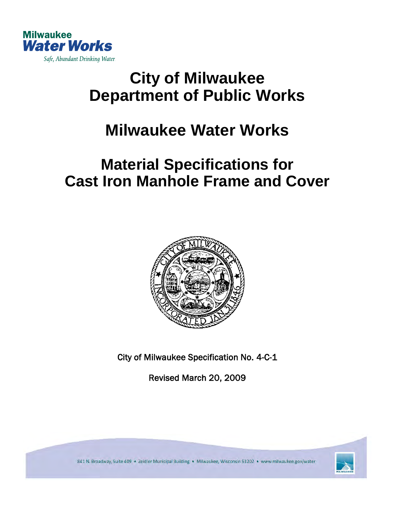

# **City of Milwaukee Department of Public Works**

## **Milwaukee Water Works**

## **Material Specifications for Cast Iron Manhole Frame and Cover**



City of Milwaukee Specification No. 4-C-1

Revised March 20, 2009



841 N. Broadway, Suite 409 · Zeidler Municipal Building · Milwaukee, Wisconsin 53202 · www.milwaukee.gov/water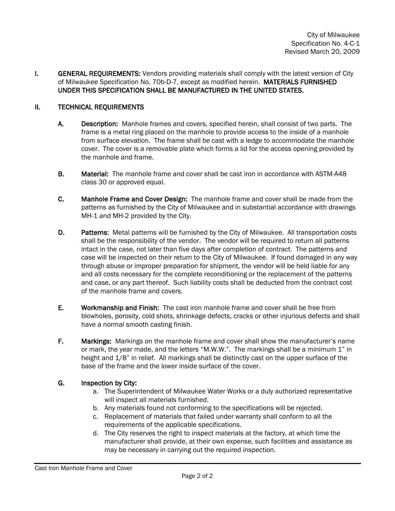**I.** GENERAL REQUIREMENTS: Vendors providing materials shall comply with the latest version of City of Milwaukee Specification No. 70b-D-7, except as modified herein. MATERIALS FURNISHED UNDER THIS SPECIFICATION SHALL BE MANUFACTURED IN THE UNITED STATES.

#### II. TECHNICAL REQUIREMENTS

- A. Description: Manhole frames and covers, specified herein, shall consist of two parts. The frame is a metal ring placed on the manhole to provide access to the inside of a manhole from surface elevation. The frame shall be cast with a ledge to accommodate the manhole cover. The cover is a removable plate which forms a lid for the access opening provided by the manhole and frame.
- B. Material: The manhole frame and cover shall be cast iron in accordance with ASTM-A48 class 30 or approved equal.
- C. Manhole Frame and Cover Design: The manhole frame and cover shall be made from the patterns as furnished by the City of Milwaukee and in substantial accordance with drawings MH-1 and MH-2 provided by the City.
- D. Patterns: Metal patterns will be furnished by the City of Milwaukee. All transportation costs shall be the responsibility of the vendor. The vendor will be required to return all patterns intact in the case, not later than five days after completion of contract. The patterns and case will be inspected on their return to the City of Milwaukee. If found damaged in any way through abuse or improper preparation for shipment, the vendor will be held liable for any and all costs necessary for the complete reconditioning or the replacement of the patterns and case, or any part thereof. Such liability costs shall be deducted from the contract cost of the manhole frame and covers.
- E. Workmanship and Finish: The cast iron manhole frame and cover shall be free from blowholes, porosity, cold shots, shrinkage defects, cracks or other injurious defects and shall have a normal smooth casting finish.
- F. Markings: Markings on the manhole frame and cover shall show the manufacturer's name or mark, the year made, and the letters "M.W.W.". The markings shall be a minimum 1" in height and 1/8" in relief. All markings shall be distinctly cast on the upper surface of the base of the frame and the lower inside surface of the cover.

#### G. Inspection by City:

- a. The Superintendent of Milwaukee Water Works or a duly authorized representative will inspect all materials furnished.
- b. Any materials found not conforming to the specifications will be rejected.
- c. Replacement of materials that failed under warranty shall conform to all the requirements of the applicable specifications.
- d. The City reserves the right to inspect materials at the factory, at which time the manufacturer shall provide, at their own expense, such facilities and assistance as may be necessary in carrying out the required inspection.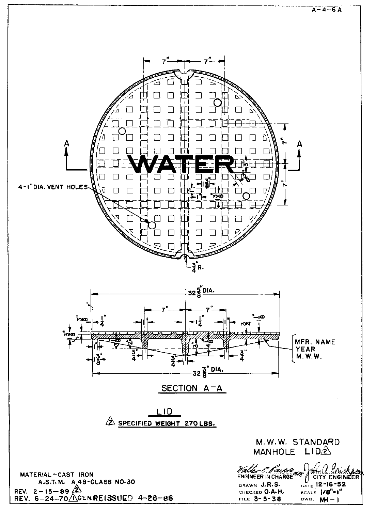